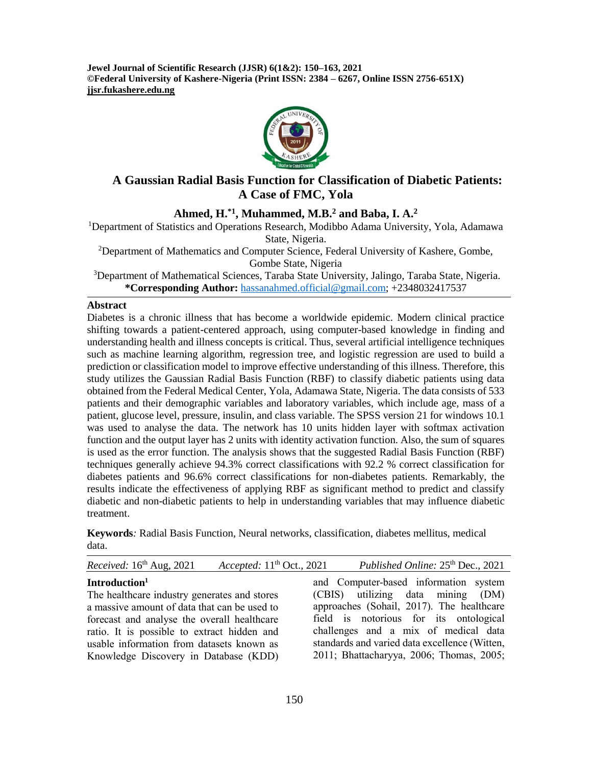**Jewel Journal of Scientific Research (JJSR) 6(1&2): 150–163, 2021 ©Federal University of Kashere-Nigeria (Print ISSN: 2384 – 6267, Online ISSN 2756-651X) jjsr.fukashere.edu.ng**



# **A Gaussian Radial Basis Function for Classification of Diabetic Patients: A Case of FMC, Yola**

# **Ahmed, H.\*1, Muhammed, M.B.<sup>2</sup> and Baba, I. A.<sup>2</sup>**

<sup>1</sup>Department of Statistics and Operations Research, Modibbo Adama University, Yola, Adamawa State, Nigeria.

<sup>2</sup>Department of Mathematics and Computer Science, Federal University of Kashere, Gombe, Gombe State, Nigeria

<sup>3</sup>Department of Mathematical Sciences, Taraba State University, Jalingo, Taraba State, Nigeria. **\*Corresponding Author:** [hassanahmed.official@gmail.com;](mailto:hassanahmed.official@gmail.com) +2348032417537

### **Abstract**

Diabetes is a chronic illness that has become a worldwide epidemic. Modern clinical practice shifting towards a patient-centered approach, using computer-based knowledge in finding and understanding health and illness concepts is critical. Thus, several artificial intelligence techniques such as machine learning algorithm, regression tree, and logistic regression are used to build a prediction or classification model to improve effective understanding of this illness. Therefore, this study utilizes the Gaussian Radial Basis Function (RBF) to classify diabetic patients using data obtained from the Federal Medical Center, Yola, Adamawa State, Nigeria. The data consists of 533 patients and their demographic variables and laboratory variables, which include age, mass of a patient, glucose level, pressure, insulin, and class variable. The SPSS version 21 for windows 10.1 was used to analyse the data. The network has 10 units hidden layer with softmax activation function and the output layer has 2 units with identity activation function. Also, the sum of squares is used as the error function. The analysis shows that the suggested Radial Basis Function (RBF) techniques generally achieve 94.3% correct classifications with 92.2 % correct classification for diabetes patients and 96.6% correct classifications for non-diabetes patients. Remarkably, the results indicate the effectiveness of applying RBF as significant method to predict and classify diabetic and non-diabetic patients to help in understanding variables that may influence diabetic treatment.

**Keywords***:* Radial Basis Function, Neural networks, classification, diabetes mellitus, medical data.

| Received: 16th Aug, 2021<br>Accepted: $11th$ Oct., 2021 | Published Online: 25 <sup>th</sup> Dec., 2021 |
|---------------------------------------------------------|-----------------------------------------------|
| Introduction <sup>1</sup>                               | and Computer-based information system         |
| The healthcare industry generates and stores            | (CBIS) utilizing data mining (DM)             |
| a massive amount of data that can be used to            | approaches (Sohail, 2017). The healthcare     |
| forecast and analyse the overall healthcare             | field is notorious for its ontological        |
| ratio. It is possible to extract hidden and             | challenges and a mix of medical data          |
| usable information from datasets known as               | standards and varied data excellence (Witten, |
| Knowledge Discovery in Database (KDD)                   | 2011; Bhattacharyya, 2006; Thomas, 2005;      |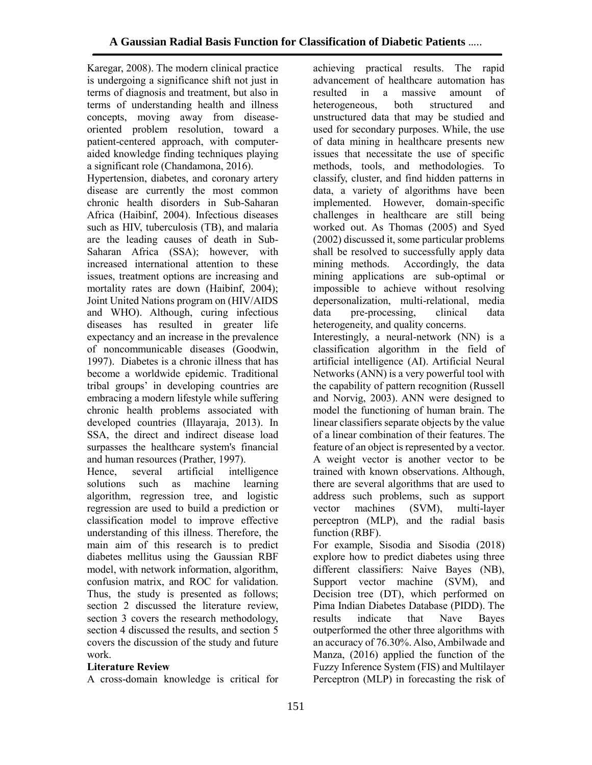Karegar, 2008). The modern clinical practice is undergoing a significance shift not just in terms of diagnosis and treatment, but also in terms of understanding health and illness concepts, moving away from diseaseoriented problem resolution, toward a patient-centered approach, with computeraided knowledge finding techniques playing a significant role (Chandamona, 2016).

Hypertension, diabetes, and coronary artery disease are currently the most common chronic health disorders in Sub-Saharan Africa (Haibinf, 2004). Infectious diseases such as HIV, tuberculosis (TB), and malaria are the leading causes of death in Sub-Saharan Africa (SSA); however, with increased international attention to these issues, treatment options are increasing and mortality rates are down (Haibinf, 2004); Joint United Nations program on (HIV/AIDS and WHO). Although, curing infectious diseases has resulted in greater life expectancy and an increase in the prevalence of noncommunicable diseases (Goodwin, 1997). Diabetes is a chronic illness that has become a worldwide epidemic. Traditional tribal groups' in developing countries are embracing a modern lifestyle while suffering chronic health problems associated with developed countries (Illayaraja, 2013). In SSA, the direct and indirect disease load surpasses the healthcare system's financial and human resources (Prather, 1997).

Hence, several artificial intelligence solutions such as machine learning algorithm, regression tree, and logistic regression are used to build a prediction or classification model to improve effective understanding of this illness. Therefore, the main aim of this research is to predict diabetes mellitus using the Gaussian RBF model, with network information, algorithm, confusion matrix, and ROC for validation. Thus, the study is presented as follows; section 2 discussed the literature review, section 3 covers the research methodology, section 4 discussed the results, and section 5 covers the discussion of the study and future work.

### **Literature Review**

A cross-domain knowledge is critical for

achieving practical results. The rapid advancement of healthcare automation has resulted in a massive amount of heterogeneous, both structured and unstructured data that may be studied and used for secondary purposes. While, the use of data mining in healthcare presents new issues that necessitate the use of specific methods, tools, and methodologies. To classify, cluster, and find hidden patterns in data, a variety of algorithms have been implemented. However, domain-specific challenges in healthcare are still being worked out. As Thomas (2005) and Syed (2002) discussed it, some particular problems shall be resolved to successfully apply data mining methods. Accordingly, the data mining applications are sub-optimal or impossible to achieve without resolving depersonalization, multi-relational, media data pre-processing, clinical data heterogeneity, and quality concerns.

Interestingly, a neural-network (NN) is a classification algorithm in the field of artificial intelligence (AI). Artificial Neural Networks (ANN) is a very powerful tool with the capability of pattern recognition (Russell and Norvig, 2003). ANN were designed to model the functioning of human brain. The linear classifiers separate objects by the value of a linear combination of their features. The feature of an object is represented by a vector. A weight vector is another vector to be trained with known observations. Although, there are several algorithms that are used to address such problems, such as support vector machines (SVM), multi-layer perceptron (MLP), and the radial basis function (RBF).

For example, Sisodia and Sisodia (2018) explore how to predict diabetes using three different classifiers: Naive Bayes (NB), Support vector machine (SVM), and Decision tree (DT), which performed on Pima Indian Diabetes Database (PIDD). The results indicate that Nave Bayes outperformed the other three algorithms with an accuracy of 76.30%. Also, Ambilwade and Manza, (2016) applied the function of the Fuzzy Inference System (FIS) and Multilayer Perceptron (MLP) in forecasting the risk of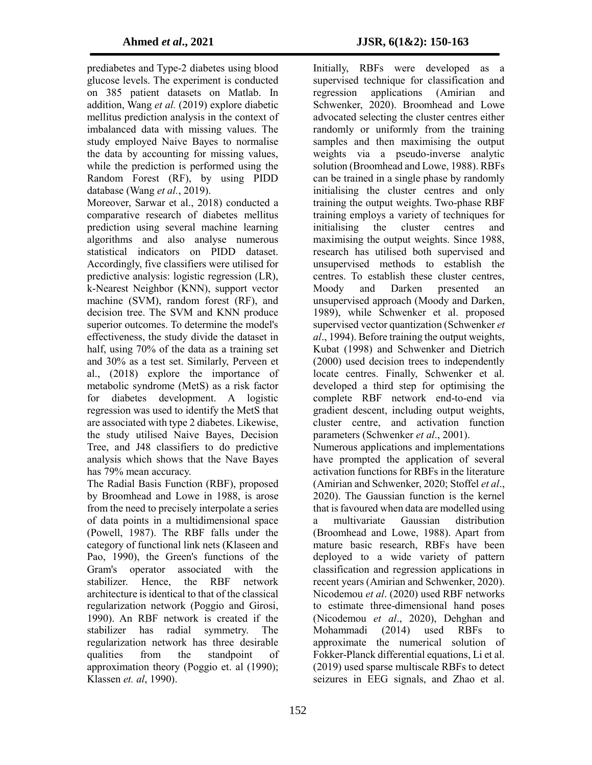prediabetes and Type-2 diabetes using blood glucose levels. The experiment is conducted on 385 patient datasets on Matlab. In addition, Wang *et al.* (2019) explore diabetic mellitus prediction analysis in the context of imbalanced data with missing values. The study employed Naive Bayes to normalise the data by accounting for missing values, while the prediction is performed using the Random Forest (RF), by using PIDD database (Wang *et al.*, 2019).

Moreover, Sarwar et al., 2018) conducted a comparative research of diabetes mellitus prediction using several machine learning algorithms and also analyse numerous statistical indicators on PIDD dataset. Accordingly, five classifiers were utilised for predictive analysis: logistic regression (LR), k-Nearest Neighbor (KNN), support vector machine (SVM), random forest (RF), and decision tree. The SVM and KNN produce superior outcomes. To determine the model's effectiveness, the study divide the dataset in half, using 70% of the data as a training set and 30% as a test set. Similarly, Perveen et al., (2018) explore the importance of metabolic syndrome (MetS) as a risk factor for diabetes development. A logistic regression was used to identify the MetS that are associated with type 2 diabetes. Likewise, the study utilised Naive Bayes, Decision Tree, and J48 classifiers to do predictive analysis which shows that the Nave Bayes has 79% mean accuracy.

The Radial Basis Function (RBF), proposed by Broomhead and Lowe in 1988, is arose from the need to precisely interpolate a series of data points in a multidimensional space (Powell, 1987). The RBF falls under the category of functional link nets (Klaseen and Pao, 1990), the Green's functions of the Gram's operator associated with the stabilizer. Hence, the RBF network architecture is identical to that of the classical regularization network (Poggio and Girosi, 1990). An RBF network is created if the stabilizer has radial symmetry. The regularization network has three desirable qualities from the standpoint of approximation theory (Poggio et. al (1990); Klassen *et. al*, 1990).

Initially, RBFs were developed as a supervised technique for classification and regression applications (Amirian and Schwenker, 2020). Broomhead and Lowe advocated selecting the cluster centres either randomly or uniformly from the training samples and then maximising the output weights via a pseudo-inverse analytic solution (Broomhead and Lowe, 1988). RBFs can be trained in a single phase by randomly initialising the cluster centres and only training the output weights. Two-phase RBF training employs a variety of techniques for initialising the cluster centres and maximising the output weights. Since 1988, research has utilised both supervised and unsupervised methods to establish the centres. To establish these cluster centres, Moody and Darken presented an unsupervised approach (Moody and Darken, 1989), while Schwenker et al. proposed supervised vector quantization (Schwenker *et al*., 1994). Before training the output weights, Kubat (1998) and Schwenker and Dietrich (2000) used decision trees to independently locate centres. Finally, Schwenker et al. developed a third step for optimising the complete RBF network end-to-end via gradient descent, including output weights, cluster centre, and activation function parameters (Schwenker *et al*., 2001). Numerous applications and implementations have prompted the application of several activation functions for RBFs in the literature (Amirian and Schwenker, 2020; Stoffel *et al*.,

2020). The Gaussian function is the kernel that is favoured when data are modelled using a multivariate Gaussian distribution (Broomhead and Lowe, 1988). Apart from mature basic research, RBFs have been deployed to a wide variety of pattern classification and regression applications in recent years (Amirian and Schwenker, 2020). Nicodemou *et al*. (2020) used RBF networks to estimate three-dimensional hand poses (Nicodemou *et al*., 2020), Dehghan and Mohammadi (2014) used RBFs to approximate the numerical solution of Fokker-Planck differential equations, Li et al. (2019) used sparse multiscale RBFs to detect seizures in EEG signals, and Zhao et al.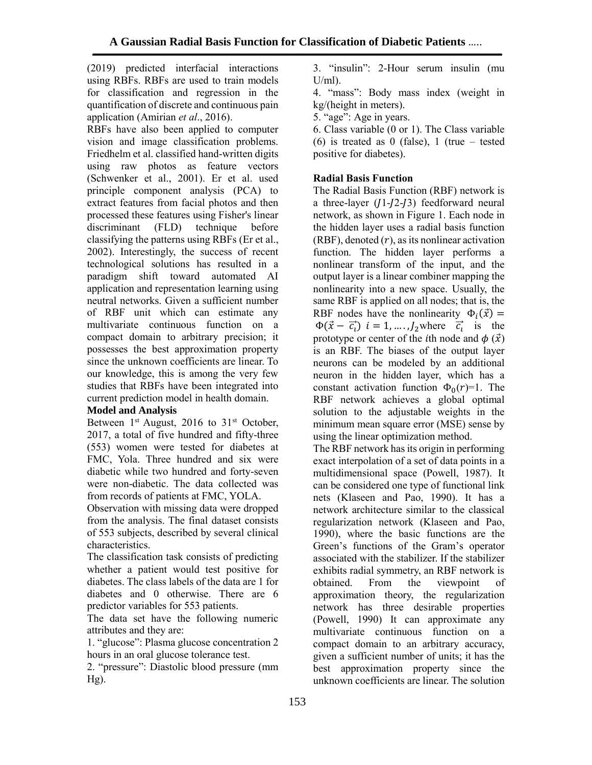(2019) predicted interfacial interactions using RBFs. RBFs are used to train models for classification and regression in the quantification of discrete and continuous pain application (Amirian *et al*., 2016).

RBFs have also been applied to computer vision and image classification problems. Friedhelm et al. classified hand-written digits using raw photos as feature vectors (Schwenker et al., 2001). Er et al. used principle component analysis (PCA) to extract features from facial photos and then processed these features using Fisher's linear discriminant (FLD) technique before classifying the patterns using RBFs (Er et al., 2002). Interestingly, the success of recent technological solutions has resulted in a paradigm shift toward automated AI application and representation learning using neutral networks. Given a sufficient number of RBF unit which can estimate any multivariate continuous function on a compact domain to arbitrary precision; it possesses the best approximation property since the unknown coefficients are linear. To our knowledge, this is among the very few studies that RBFs have been integrated into current prediction model in health domain.

### **Model and Analysis**

Between  $1<sup>st</sup>$  August, 2016 to  $31<sup>st</sup>$  October, 2017, a total of five hundred and fifty-three (553) women were tested for diabetes at FMC, Yola. Three hundred and six were diabetic while two hundred and forty-seven were non-diabetic. The data collected was from records of patients at FMC, YOLA.

Observation with missing data were dropped from the analysis. The final dataset consists of 553 subjects, described by several clinical characteristics.

The classification task consists of predicting whether a patient would test positive for diabetes. The class labels of the data are 1 for diabetes and 0 otherwise. There are 6 predictor variables for 553 patients.

The data set have the following numeric attributes and they are:

1. "glucose": Plasma glucose concentration 2 hours in an oral glucose tolerance test.

2. "pressure": Diastolic blood pressure (mm Hg).

3. "insulin": 2-Hour serum insulin (mu  $U/ml$ ).

4. "mass": Body mass index (weight in kg/(height in meters).

5. "age": Age in years.

6. Class variable (0 or 1). The Class variable (6) is treated as 0 (false), 1 (true – tested positive for diabetes).

## **Radial Basis Function**

The Radial Basis Function (RBF) network is a three-layer  $(I1-I2-I3)$  feedforward neural network, as shown in Figure [1.](https://www.hindawi.com/journals/isrn/2012/324194/fig1/) Each node in the hidden layer uses a radial basis function (RBF), denoted  $(r)$ , as its nonlinear activation function. The hidden layer performs a nonlinear transform of the input, and the output layer is a linear combiner mapping the nonlinearity into a new space. Usually, the same RBF is applied on all nodes; that is, the RBF nodes have the nonlinearity  $\Phi_i(\vec{x}) =$  $\Phi(\vec{x} - \vec{c}_i)$   $i = 1, ..., J_2$  where  $\vec{c}_i$  is the prototype or center of the *i*th node and  $\phi(\vec{x})$ is an RBF. The biases of the output layer neurons can be modeled by an additional neuron in the hidden layer, which has a constant activation function  $\Phi_0(r)=1$ . The RBF network achieves a global optimal solution to the adjustable weights in the minimum mean square error (MSE) sense by using the linear optimization method.

The RBF network has its origin in performing exact interpolation of a set of data points in a multidimensional space (Powell, 1987). It can be considered one type of functional link nets (Klaseen and Pao, 1990). It has a network architecture similar to the classical regularization network (Klaseen and Pao, 1990), where the basic functions are the Green's functions of the Gram's operator associated with the stabilizer. If the stabilizer exhibits radial symmetry, an RBF network is obtained. From the viewpoint of approximation theory, the regularization network has three desirable properties (Powell, 1990) It can approximate any multivariate continuous function on a compact domain to an arbitrary accuracy, given a sufficient number of units; it has the best approximation property since the unknown coefficients are linear. The solution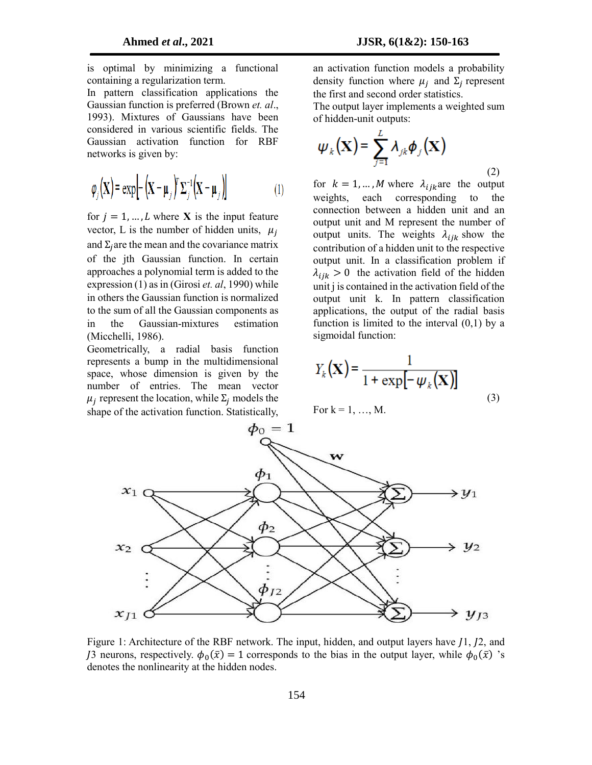is optimal by minimizing a functional containing a regularization term.

In pattern classification applications the Gaussian function is preferred (Brown *et. al*., 1993). Mixtures of Gaussians have been considered in various scientific fields. The Gaussian activation function for RBF networks is given by:

$$
\varphi_j(\mathbf{X}) = \exp\left[-\left(\mathbf{X} - \boldsymbol{\mu}_j\right)^T \boldsymbol{\Sigma}_j^{-1} \left(\mathbf{X} - \boldsymbol{\mu}_j\right)\right] \tag{1}
$$

for  $j = 1, ..., L$  where **X** is the input feature vector, L is the number of hidden units,  $\mu_i$ and  $\Sigma_i$  are the mean and the covariance matrix of the jth Gaussian function. In certain approaches a polynomial term is added to the expression (1) as in (Girosi *et. al*, 1990) while in others the Gaussian function is normalized to the sum of all the Gaussian components as in the Gaussian-mixtures estimation (Micchelli, 1986).

Geometrically, a radial basis function represents a bump in the multidimensional space, whose dimension is given by the number of entries. The mean vector  $\mu_j$  represent the location, while  $\Sigma_j$  models the shape of the activation function. Statistically,

an activation function models a probability density function where  $\mu_j$  and  $\Sigma_j$  represent the first and second order statistics.

The output layer implements a weighted sum of hidden-unit outputs:

$$
\psi_{k}(\mathbf{X}) = \sum_{j=1}^{L} \lambda_{jk} \phi_{j}(\mathbf{X})
$$
\n(2)

for  $k = 1, ..., M$  where  $\lambda_{ijk}$  are the output weights, each corresponding to the connection between a hidden unit and an output unit and M represent the number of output units. The weights  $\lambda_{ijk}$  show the contribution of a hidden unit to the respective output unit. In a classification problem if  $\lambda_{ijk} > 0$  the activation field of the hidden unit j is contained in the activation field of the output unit k. In pattern classification applications, the output of the radial basis function is limited to the interval  $(0,1)$  by a sigmoidal function:

$$
Y_k(\mathbf{X}) = \frac{1}{1 + \exp[-\psi_k(\mathbf{X})]}
$$
(3)

For  $k = 1, ..., M$ .



Figure 1: Architecture of the RBF network. The input, hidden, and output layers have  $11$ ,  $12$ , and *J*3 neurons, respectively.  $\phi_0(\bar{x}) = 1$  corresponds to the bias in the output layer, while  $\phi_0(\bar{x})$  's denotes the nonlinearity at the hidden nodes.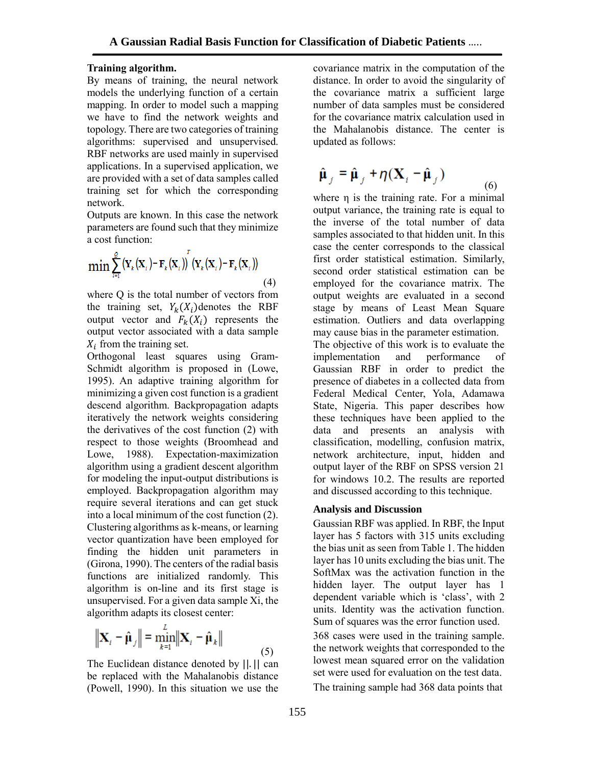### **Training algorithm.**

By means of training, the neural network models the underlying function of a certain mapping. In order to model such a mapping we have to find the network weights and topology. There are two categories of training algorithms: supervised and unsupervised. RBF networks are used mainly in supervised applications. In a supervised application, we are provided with a set of data samples called training set for which the corresponding network.

Outputs are known. In this case the network parameters are found such that they minimize a cost function:

$$
\min \sum_{i=1}^{Q} (\mathbf{Y}_{k}(\mathbf{X}_{i}) - \mathbf{F}_{k}(\mathbf{X}_{i}))^{T} (\mathbf{Y}_{k}(\mathbf{X}_{i}) - \mathbf{F}_{k}(\mathbf{X}_{i}))
$$
\n(4)

where Q is the total number of vectors from the training set,  $Y_k(X_i)$  denotes the RBF output vector and  $F_k(X_i)$  represents the output vector associated with a data sample  $X_i$  from the training set.

Orthogonal least squares using Gram-Schmidt algorithm is proposed in (Lowe, 1995). An adaptive training algorithm for minimizing a given cost function is a gradient descend algorithm. Backpropagation adapts iteratively the network weights considering the derivatives of the cost function (2) with respect to those weights (Broomhead and Lowe, 1988). Expectation-maximization algorithm using a gradient descent algorithm for modeling the input-output distributions is employed. Backpropagation algorithm may require several iterations and can get stuck into a local minimum of the cost function (2). Clustering algorithms as k-means, or learning vector quantization have been employed for finding the hidden unit parameters in (Girona, 1990). The centers of the radial basis functions are initialized randomly. This algorithm is on-line and its first stage is unsupervised. For a given data sample Xi, the algorithm adapts its closest center:

$$
\|\mathbf{X}_{i} - \hat{\boldsymbol{\mu}}_{j}\| = \min_{k=1}^{L} \|\mathbf{X}_{i} - \hat{\boldsymbol{\mu}}_{k}\|
$$
\n(5)

The Euclidean distance denoted by ||. || can be replaced with the Mahalanobis distance (Powell, 1990). In this situation we use the

covariance matrix in the computation of the distance. In order to avoid the singularity of the covariance matrix a sufficient large number of data samples must be considered for the covariance matrix calculation used in the Mahalanobis distance. The center is updated as follows:

$$
\hat{\mu}_j = \hat{\mu}_j + \eta (\mathbf{X}_i - \hat{\mu}_j) \tag{6}
$$

where η is the training rate. For a minimal output variance, the training rate is equal to the inverse of the total number of data samples associated to that hidden unit. In this case the center corresponds to the classical first order statistical estimation. Similarly, second order statistical estimation can be employed for the covariance matrix. The output weights are evaluated in a second stage by means of Least Mean Square estimation. Outliers and data overlapping may cause bias in the parameter estimation. The objective of this work is to evaluate the implementation and performance of Gaussian RBF in order to predict the presence of diabetes in a collected data from Federal Medical Center, Yola, Adamawa State, Nigeria. This paper describes how these techniques have been applied to the data and presents an analysis with classification, modelling, confusion matrix, network architecture, input, hidden and output layer of the RBF on SPSS version 21 for windows 10.2. The results are reported and discussed according to this technique.

### **Analysis and Discussion**

Gaussian RBF was applied. In RBF, the Input layer has 5 factors with 315 units excluding the bias unit as seen from Table 1. The hidden layer has 10 units excluding the bias unit. The SoftMax was the activation function in the hidden layer. The output layer has 1 dependent variable which is 'class', with 2 units. Identity was the activation function. Sum of squares was the error function used.

368 cases were used in the training sample. the network weights that corresponded to the lowest mean squared error on the validation set were used for evaluation on the test data. The training sample had 368 data points that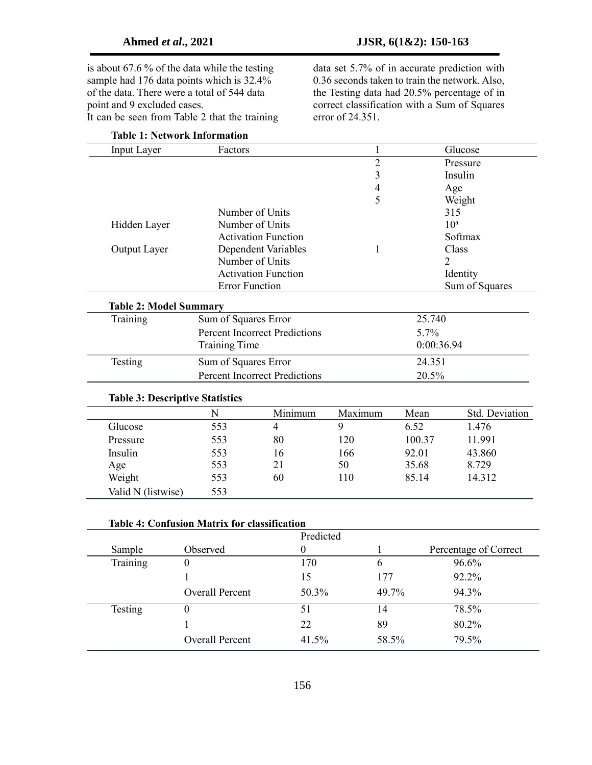is about 67.6 % of the data while the testing sample had 176 data points which is 32.4% of the data. There were a total of 544 data point and 9 excluded cases. It can be seen from Table 2 that the training

data set 5.7% of in accurate prediction with 0.36 seconds taken to train the network. Also, the Testing data had 20.5% percentage of in correct classification with a Sum of Squares error of 24.351.

| Input Layer                               | Factors                              |                            | $\mathbf{1}$   |                | Glucose         |  |
|-------------------------------------------|--------------------------------------|----------------------------|----------------|----------------|-----------------|--|
|                                           |                                      |                            | $\overline{c}$ |                | Pressure        |  |
|                                           |                                      |                            | 3              |                | Insulin         |  |
|                                           |                                      |                            | $\overline{4}$ |                | Age             |  |
|                                           |                                      |                            | 5              |                | Weight          |  |
|                                           |                                      | Number of Units            |                |                | 315             |  |
| Hidden Layer                              | Number of Units                      |                            |                |                | 10 <sup>a</sup> |  |
|                                           |                                      | <b>Activation Function</b> |                |                | Softmax         |  |
| Output Layer                              |                                      | Dependent Variables        | $\mathbf{1}$   |                | Class           |  |
|                                           |                                      | Number of Units            |                | $\overline{2}$ |                 |  |
|                                           |                                      | <b>Activation Function</b> |                |                | Identity        |  |
|                                           |                                      | <b>Error Function</b>      |                |                | Sum of Squares  |  |
| <b>Table 2: Model Summary</b><br>Training | Sum of Squares Error                 |                            |                | 25.740         |                 |  |
|                                           | <b>Percent Incorrect Predictions</b> |                            |                | 5.7%           |                 |  |
|                                           | <b>Training Time</b>                 |                            | 0:00:36.94     |                |                 |  |
|                                           |                                      |                            |                |                |                 |  |
| Testing                                   | Sum of Squares Error                 |                            |                | 24.351         |                 |  |
|                                           | <b>Percent Incorrect Predictions</b> |                            |                | 20.5%          |                 |  |
| <b>Table 3: Descriptive Statistics</b>    |                                      |                            |                |                |                 |  |
|                                           | N                                    | Minimum                    | Maximum        | Mean           | Std. Deviation  |  |
| Glucose                                   | 553                                  | $\overline{4}$             | 9              | 6.52           | 1.476           |  |
| Pressure                                  | 553                                  | 80                         | 120            | 100.37         | 11.991          |  |
| Insulin                                   | 553                                  | 16                         | 166            | 92.01          | 43.860          |  |
| Age                                       | 553                                  | 21                         | 50             | 35.68          | 8.729           |  |
| Weight                                    | 553                                  | 60                         | 110            | 85.14          | 14.312          |  |
| Valid N (listwise)                        | 553                                  |                            |                |                |                 |  |

### **Table 4: Confusion Matrix for classification**

|          |                        | Predicted |       |                       |
|----------|------------------------|-----------|-------|-----------------------|
| Sample   | Observed               |           |       | Percentage of Correct |
| Training | O                      | 170       | 6     | 96.6%                 |
|          |                        | 15        | 177   | 92.2%                 |
|          | <b>Overall Percent</b> | 50.3%     | 49.7% | 94.3%                 |
| Testing  | O                      | 51        | 14    | 78.5%                 |
|          |                        | 22        | 89    | 80.2%                 |
|          | <b>Overall Percent</b> | 41.5%     | 58.5% | 79.5%                 |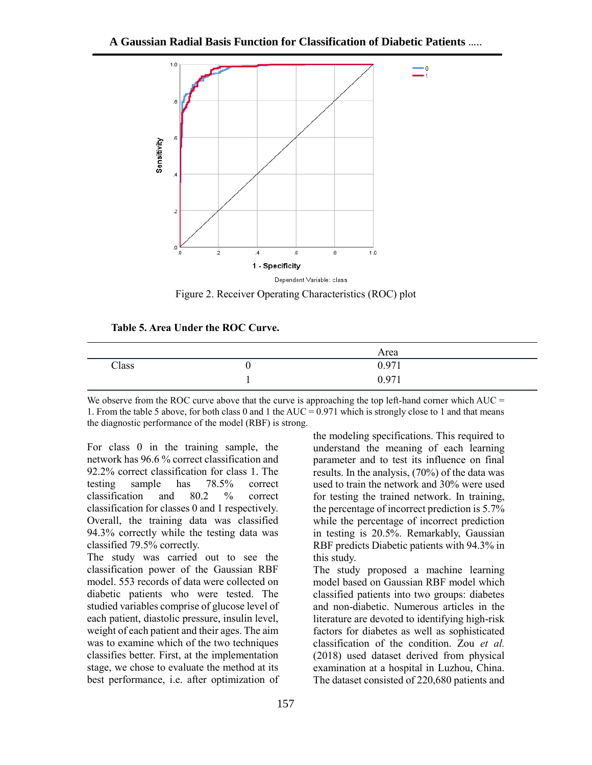

Figure 2. Receiver Operating Characteristics (ROC) plot

#### **Table 5. Area Under the ROC Curve.**

|       |   | Area  |  |
|-------|---|-------|--|
| Class | ν | 0.971 |  |
|       |   | 0.971 |  |

We observe from the ROC curve above that the curve is approaching the top left-hand corner which  $AUC =$ 1. From the table 5 above, for both class 0 and 1 the AUC = 0.971 which is strongly close to 1 and that means the diagnostic performance of the model (RBF) is strong.

For class 0 in the training sample, the network has 96.6 % correct classification and 92.2% correct classification for class 1. The testing sample has 78.5% correct classification and 80.2 % correct classification for classes 0 and 1 respectively. Overall, the training data was classified 94.3% correctly while the testing data was classified 79.5% correctly.

The study was carried out to see the classification power of the Gaussian RBF model. 553 records of data were collected on diabetic patients who were tested. The studied variables comprise of glucose level of each patient, diastolic pressure, insulin level, weight of each patient and their ages. The aim was to examine which of the two techniques classifies better. First, at the implementation stage, we chose to evaluate the method at its best performance, i.e. after optimization of

the modeling specifications. This required to understand the meaning of each learning parameter and to test its influence on final results. In the analysis, (70%) of the data was used to train the network and 30% were used for testing the trained network. In training, the percentage of incorrect prediction is 5.7% while the percentage of incorrect prediction in testing is 20.5%. Remarkably, Gaussian RBF predicts Diabetic patients with 94.3% in this study.

The study proposed a machine learning model based on Gaussian RBF model which classified patients into two groups: diabetes and non-diabetic. Numerous articles in the literature are devoted to identifying high-risk factors for diabetes as well as sophisticated classification of the condition. Zou *et al.* (2018) used dataset derived from physical examination at a hospital in Luzhou, China. The dataset consisted of 220,680 patients and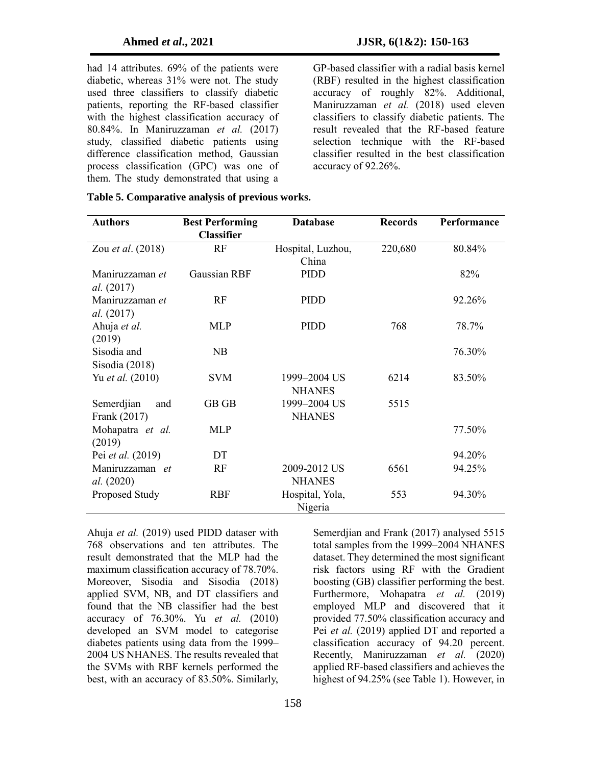had 14 attributes. 69% of the patients were diabetic, whereas 31% were not. The study used three classifiers to classify diabetic patients, reporting the RF-based classifier with the highest classification accuracy of 80.84%. In Maniruzzaman *et al.* (2017) study, classified diabetic patients using difference classification method, Gaussian process classification (GPC) was one of them. The study demonstrated that using a

GP-based classifier with a radial basis kernel (RBF) resulted in the highest classification accuracy of roughly 82%. Additional, Maniruzzaman *et al.* (2018) used eleven classifiers to classify diabetic patients. The result revealed that the RF-based feature selection technique with the RF-based classifier resulted in the best classification accuracy of 92.26%.

| <b>Authors</b>    | <b>Best Performing</b> | <b>Database</b>   | <b>Records</b> | Performance |
|-------------------|------------------------|-------------------|----------------|-------------|
|                   | <b>Classifier</b>      |                   |                |             |
| Zou et al. (2018) | RF                     | Hospital, Luzhou, | 220,680        | 80.84%      |
|                   |                        | China             |                |             |
| Maniruzzaman et   | Gaussian RBF           | PIDD              |                | 82%         |
| al. (2017)        |                        |                   |                |             |
| Maniruzzaman et   | RF                     | PIDD              |                | 92.26%      |
| al. (2017)        |                        |                   |                |             |
| Ahuja et al.      | MLP                    | PIDD              | 768            | 78.7%       |
| (2019)            |                        |                   |                |             |
| Sisodia and       | NB                     |                   |                | 76.30%      |
| Sisodia (2018)    |                        |                   |                |             |
| Yu et al. (2010)  | <b>SVM</b>             | 1999-2004 US      | 6214           | 83.50%      |
|                   |                        | <b>NHANES</b>     |                |             |
| Semerdjian<br>and | GB GB                  | 1999-2004 US      | 5515           |             |
| Frank (2017)      |                        | <b>NHANES</b>     |                |             |
| Mohapatra et al.  | <b>MLP</b>             |                   |                | 77.50%      |
| (2019)            |                        |                   |                |             |
| Pei et al. (2019) | DT                     |                   |                | 94.20%      |
| Maniruzzaman et   | RF                     | 2009-2012 US      | 6561           | 94.25%      |
| <i>al.</i> (2020) |                        | <b>NHANES</b>     |                |             |
| Proposed Study    | <b>RBF</b>             | Hospital, Yola,   | 553            | 94.30%      |
|                   |                        | Nigeria           |                |             |

|  |  |  |  |  | Table 5. Comparative analysis of previous works. |  |
|--|--|--|--|--|--------------------------------------------------|--|
|--|--|--|--|--|--------------------------------------------------|--|

Ahuja *et al.* (2019) used PIDD dataser with 768 observations and ten attributes. The result demonstrated that the MLP had the maximum classification accuracy of 78.70%. Moreover, Sisodia and Sisodia (2018) applied SVM, NB, and DT classifiers and found that the NB classifier had the best accuracy of 76.30%. Yu *et al.* (2010) developed an SVM model to categorise diabetes patients using data from the 1999– 2004 US NHANES. The results revealed that the SVMs with RBF kernels performed the best, with an accuracy of 83.50%. Similarly,

Semerdiian and Frank (2017) analysed 5515 total samples from the 1999–2004 NHANES dataset. They determined the most significant risk factors using RF with the Gradient boosting (GB) classifier performing the best. Furthermore, Mohapatra *et al.* (2019) employed MLP and discovered that it provided 77.50% classification accuracy and Pei *et al.* (2019) applied DT and reported a classification accuracy of 94.20 percent. Recently, Maniruzzaman *et al.* (2020) applied RF-based classifiers and achieves the highest of 94.25% (see Table 1). However, in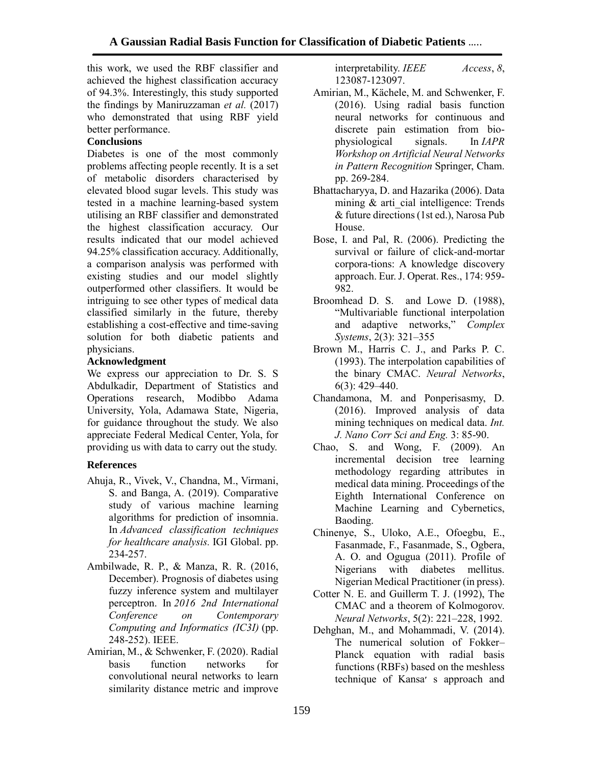this work, we used the RBF classifier and achieved the highest classification accuracy of 94.3%. Interestingly, this study supported the findings by Maniruzzaman *et al.* (2017) who demonstrated that using RBF yield better performance.

## **Conclusions**

Diabetes is one of the most commonly problems affecting people recently. It is a set of metabolic disorders characterised by elevated blood sugar levels. This study was tested in a machine learning-based system utilising an RBF classifier and demonstrated the highest classification accuracy. Our results indicated that our model achieved 94.25% classification accuracy. Additionally, a comparison analysis was performed with existing studies and our model slightly outperformed other classifiers. It would be intriguing to see other types of medical data classified similarly in the future, thereby establishing a cost-effective and time-saving solution for both diabetic patients and physicians.

## **Acknowledgment**

We express our appreciation to Dr. S. S Abdulkadir, Department of Statistics and Operations research, Modibbo Adama University, Yola, Adamawa State, Nigeria, for guidance throughout the study. We also appreciate Federal Medical Center, Yola, for providing us with data to carry out the study.

## **References**

- Ahuja, R., Vivek, V., Chandna, M., Virmani, S. and Banga, A. (2019). Comparative study of various machine learning algorithms for prediction of insomnia. In *Advanced classification techniques for healthcare analysis.* IGI Global. pp. 234-257.
- Ambilwade, R. P., & Manza, R. R. (2016, December). Prognosis of diabetes using fuzzy inference system and multilayer perceptron. In *2016 2nd International Conference on Contemporary Computing and Informatics (IC3I)* (pp. 248-252). IEEE.
- Amirian, M., & Schwenker, F. (2020). Radial basis function networks for convolutional neural networks to learn similarity distance metric and improve

interpretability. *IEEE Access*, *8*, 123087-123097.

- Amirian, M., Kächele, M. and Schwenker, F. (2016). Using radial basis function neural networks for continuous and discrete pain estimation from biophysiological signals. In *IAPR Workshop on Artificial Neural Networks in Pattern Recognition* Springer, Cham. pp. 269-284.
- Bhattacharyya, D. and Hazarika (2006). Data mining  $&$  arti cial intelligence: Trends & future directions (1st ed.), Narosa Pub House.
- Bose, I. and Pal, R. (2006). Predicting the survival or failure of click-and-mortar corpora-tions: A knowledge discovery approach. Eur. J. Operat. Res., 174: 959- 982.
- Broomhead D. S. and Lowe D. (1988), "Multivariable functional interpolation and adaptive networks," *Complex Systems*, 2(3): 321–355
- Brown M., Harris C. J., and Parks P. C. (1993). The interpolation capabilities of the binary CMAC. *Neural Networks*, 6(3): 429–440.
- Chandamona, M. and Ponperisasmy, D. (2016). Improved analysis of data mining techniques on medical data. *Int. J. Nano Corr Sci and Eng.* 3: 85-90.
- Chao, S. and Wong, F. (2009). An incremental decision tree learning methodology regarding attributes in medical data mining. Proceedings of the Eighth International Conference on Machine Learning and Cybernetics, Baoding.
- Chinenye, S., Uloko, A.E., Ofoegbu, E., Fasanmade, F., Fasanmade, S., Ogbera, A. O. and Ogugua (2011). Profile of Nigerians with diabetes mellitus. Nigerian Medical Practitioner (in press).
- Cotter N. E. and Guillerm T. J. (1992), The CMAC and a theorem of Kolmogorov. *Neural Networks*, 5(2): 221–228, 1992.
- Dehghan, M., and Mohammadi, V. (2014). The numerical solution of Fokker– Planck equation with radial basis functions (RBFs) based on the meshless technique of Kansa׳ s approach and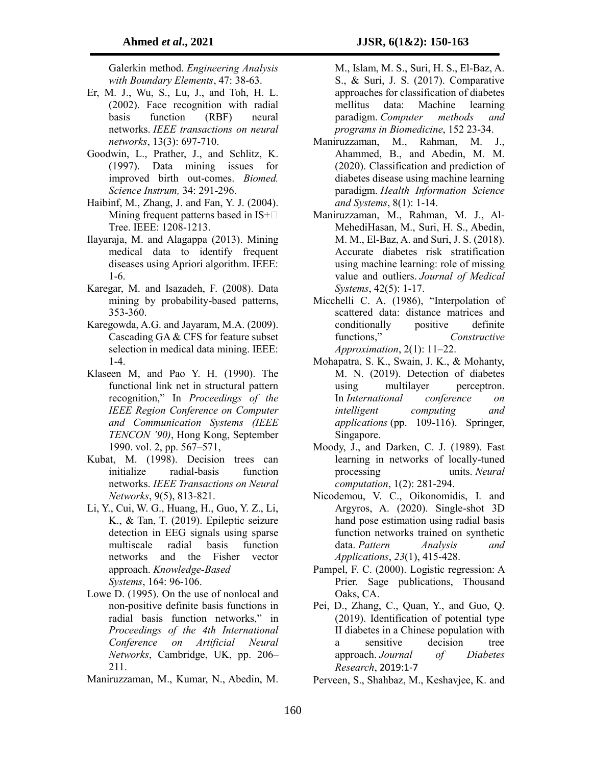Galerkin method. *Engineering Analysis with Boundary Elements*, 47: 38-63.

- Er, M. J., Wu, S., Lu, J., and Toh, H. L. (2002). Face recognition with radial basis function (RBF) neural networks. *IEEE transactions on neural networks*, 13(3): 697-710.
- Goodwin, L., Prather, J., and Schlitz, K. (1997). Data mining issues for improved birth out-comes. *Biomed. Science Instrum,* 34: 291-296.
- Haibinf, M., Zhang, J. and Fan, Y. J. (2004). Mining frequent patterns based in  $IS+\Box$ Tree. IEEE: 1208-1213.
- Ilayaraja, M. and Alagappa (2013). Mining medical data to identify frequent diseases using Apriori algorithm. IEEE: 1-6.
- Karegar, M. and Isazadeh, F. (2008). Data mining by probability-based patterns, 353-360.
- Karegowda, A.G. and Jayaram, M.A. (2009). Cascading GA & CFS for feature subset selection in medical data mining. IEEE: 1-4.
- Klaseen M, and Pao Y. H. (1990). The functional link net in structural pattern recognition," In *Proceedings of the IEEE Region Conference on Computer and Communication Systems (IEEE TENCON '90)*, Hong Kong, September 1990. vol. 2, pp. 567–571,
- Kubat, M. (1998). Decision trees can initialize radial-basis function networks. *IEEE Transactions on Neural Networks*, 9(5), 813-821.
- Li, Y., Cui, W. G., Huang, H., Guo, Y. Z., Li, K., & Tan, T. (2019). Epileptic seizure detection in EEG signals using sparse multiscale radial basis function networks and the Fisher vector approach. *Knowledge-Based Systems*, 164: 96-106.
- Lowe D. (1995). On the use of nonlocal and non-positive definite basis functions in radial basis function networks," in *Proceedings of the 4th International Conference on Artificial Neural Networks*, Cambridge, UK, pp. 206– 211.
- Maniruzzaman, M., Kumar, N., Abedin, M.

M., Islam, M. S., Suri, H. S., El-Baz, A. S., & Suri, J. S. (2017). Comparative approaches for classification of diabetes mellitus data: Machine learning paradigm. *Computer methods and programs in Biomedicine*, 152 23-34.

- Maniruzzaman, M., Rahman, M. J., Ahammed, B., and Abedin, M. M. (2020). Classification and prediction of diabetes disease using machine learning paradigm. *Health Information Science and Systems*, 8(1): 1-14.
- Maniruzzaman, M., Rahman, M. J., Al-MehediHasan, M., Suri, H. S., Abedin, M. M., El-Baz, A. and Suri, J. S. (2018). Accurate diabetes risk stratification using machine learning: role of missing value and outliers. *Journal of Medical Systems*, 42(5): 1-17.
- Micchelli C. A. (1986), "Interpolation of scattered data: distance matrices and conditionally positive definite functions," *Constructive Approximation*, 2(1): 11–22.
- Mohapatra, S. K., Swain, J. K., & Mohanty, M. N. (2019). Detection of diabetes using multilayer perceptron. In *International conference on intelligent computing and applications* (pp. 109-116). Springer, Singapore.
- Moody, J., and Darken, C. J. (1989). Fast learning in networks of locally-tuned processing units. *Neural computation*, 1(2): 281-294.
- Nicodemou, V. C., Oikonomidis, I. and Argyros, A. (2020). Single-shot 3D hand pose estimation using radial basis function networks trained on synthetic data. *Pattern Analysis and Applications*, *23*(1), 415-428.
- Pampel, F. C. (2000). Logistic regression: A Prier. Sage publications, Thousand Oaks, CA.
- Pei, D., Zhang, C., Quan, Y., and Guo, Q. (2019). Identification of potential type II diabetes in a Chinese population with a sensitive decision tree approach. *Journal of Diabetes Research*, 2019:1-7
- Perveen, S., Shahbaz, M., Keshavjee, K. and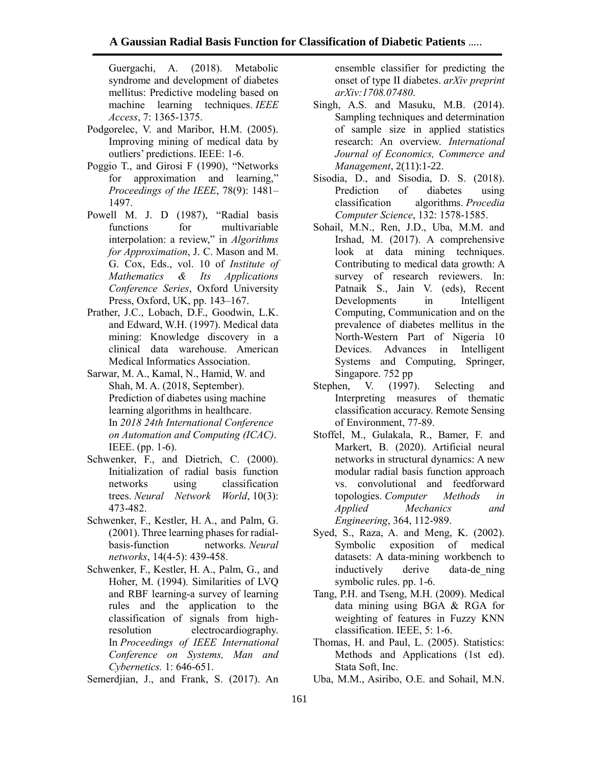Guergachi, A. (2018). Metabolic syndrome and development of diabetes mellitus: Predictive modeling based on machine learning techniques. *IEEE Access*, 7: 1365-1375.

- Podgorelec, V. and Maribor, H.M. (2005). Improving mining of medical data by outliers' predictions. IEEE: 1-6.
- Poggio T., and Girosi F (1990), "Networks for approximation and learning," *Proceedings of the IEEE*, 78(9): 1481– 1497.
- Powell M. J. D (1987), "Radial basis functions for multivariable interpolation: a review," in *Algorithms for Approximation*, J. C. Mason and M. G. Cox, Eds., vol. 10 of *Institute of Mathematics & Its Applications Conference Series*, Oxford University Press, Oxford, UK, pp. 143–167.
- Prather, J.C., Lobach, D.F., Goodwin, L.K. and Edward, W.H. (1997). Medical data mining: Knowledge discovery in a clinical data warehouse. American Medical Informatics Association.
- Sarwar, M. A., Kamal, N., Hamid, W. and Shah, M. A. (2018, September). Prediction of diabetes using machine learning algorithms in healthcare. In *2018 24th International Conference on Automation and Computing (ICAC)*. IEEE. (pp. 1-6).
- Schwenker, F., and Dietrich, C. (2000). Initialization of radial basis function networks using classification trees. *Neural Network World*, 10(3): 473-482.
- Schwenker, F., Kestler, H. A., and Palm, G. (2001). Three learning phases for radialbasis-function networks. *Neural networks*, 14(4-5): 439-458.
- Schwenker, F., Kestler, H. A., Palm, G., and Hoher, M. (1994). Similarities of LVQ and RBF learning-a survey of learning rules and the application to the classification of signals from highresolution electrocardiography. In *Proceedings of IEEE International Conference on Systems, Man and Cybernetics.* 1: 646-651.

Semerdjian, J., and Frank, S. (2017). An

ensemble classifier for predicting the onset of type II diabetes. *arXiv preprint arXiv:1708.07480*.

- Singh, A.S. and Masuku, M.B. (2014). Sampling techniques and determination of sample size in applied statistics research: An overview. *International Journal of Economics, Commerce and Management*, 2(11):1-22.
- Sisodia, D., and Sisodia, D. S. (2018). Prediction of diabetes using classification algorithms. *Procedia Computer Science*, 132: 1578-1585.
- Sohail, M.N., Ren, J.D., Uba, M.M. and Irshad, M. (2017). A comprehensive look at data mining techniques. Contributing to medical data growth: A survey of research reviewers. In: Patnaik S., Jain V. (eds), Recent Developments in Intelligent Computing, Communication and on the prevalence of diabetes mellitus in the North-Western Part of Nigeria 10<br>Devices. Advances in Intelligent Devices. Advances Systems and Computing, Springer, Singapore. 752 pp
- Stephen, V. (1997). Selecting and Interpreting measures of thematic classification accuracy. Remote Sensing of Environment, 77-89.
- Stoffel, M., Gulakala, R., Bamer, F. and Markert, B. (2020). Artificial neural networks in structural dynamics: A new modular radial basis function approach vs. convolutional and feedforward topologies. *Computer Methods in Applied Mechanics and Engineering*, 364, 112-989.
- Syed, S., Raza, A. and Meng, K. (2002). Symbolic exposition of medical datasets: A data-mining workbench to inductively derive data-de\_ning symbolic rules. pp. 1-6.
- Tang, P.H. and Tseng, M.H. (2009). Medical data mining using BGA & RGA for weighting of features in Fuzzy KNN classification. IEEE, 5: 1-6.
- Thomas, H. and Paul, L. (2005). Statistics: Methods and Applications (1st ed). Stata Soft, Inc.
- Uba, M.M., Asiribo, O.E. and Sohail, M.N.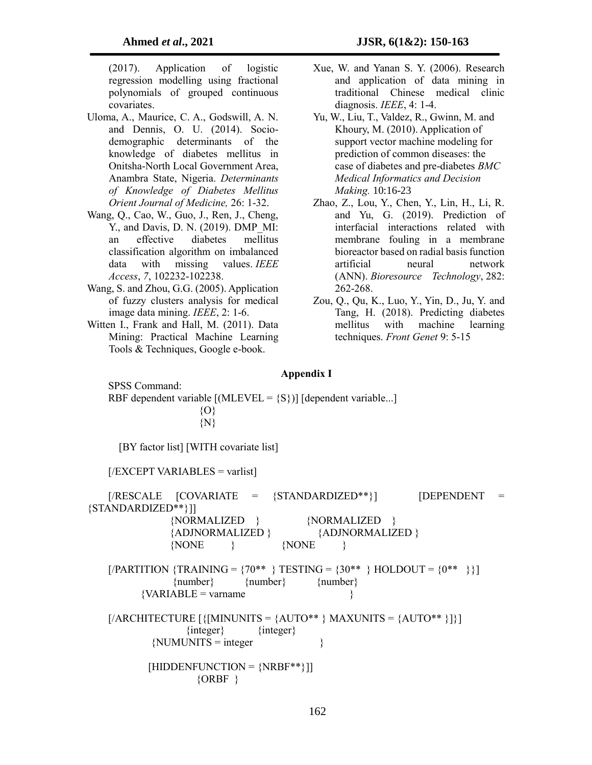(2017). Application of logistic regression modelling using fractional polynomials of grouped continuous covariates.

- Uloma, A., Maurice, C. A., Godswill, A. N. and Dennis, O. U. (2014). Sociodemographic determinants of the knowledge of diabetes mellitus in Onitsha-North Local Government Area, Anambra State, Nigeria. *Determinants of Knowledge of Diabetes Mellitus Orient Journal of Medicine,* 26: 1-32.
- Wang, Q., Cao, W., Guo, J., Ren, J., Cheng, Y., and Davis, D. N. (2019). DMP\_MI: an effective diabetes mellitus classification algorithm on imbalanced data with missing values. *IEEE Access*, *7*, 102232-102238.
- Wang, S. and Zhou, G.G. (2005). Application of fuzzy clusters analysis for medical image data mining. *IEEE*, 2: 1-6.
- Witten I., Frank and Hall, M. (2011). Data Mining: Practical Machine Learning Tools & Techniques, Google e-book.
- Xue, W. and Yanan S. Y. (2006). Research and application of data mining in traditional Chinese medical clinic diagnosis. *IEEE*, 4: 1-4.
- Yu, W., Liu, T., Valdez, R., Gwinn, M. and Khoury, M. (2010). Application of support vector machine modeling for prediction of common diseases: the case of diabetes and pre-diabetes *BMC Medical Informatics and Decision Making.* 10:16-23
- Zhao, Z., Lou, Y., Chen, Y., Lin, H., Li, R. and Yu, G. (2019). Prediction of interfacial interactions related with membrane fouling in a membrane bioreactor based on radial basis function artificial neural network (ANN). *Bioresource Technology*, 282: 262-268.
- Zou, Q., Qu, K., Luo, Y., Yin, D., Ju, Y. and Tang, H. (2018). Predicting diabetes mellitus with machine learning techniques. *Front Genet* 9: 5-15

#### **Appendix I**

SPSS Command: RBF dependent variable  $[(MLEVEL = {S})]$  [dependent variable...]  ${O}$  $\{N\}$  [BY factor list] [WITH covariate list]  $[/EXCEPT VARIABLES = \text{variables}]$ [/RESCALE [COVARIATE = {STANDARDIZED\*\*}] [DEPENDENT = {STANDARDIZED\*\*}]] {NORMALIZED } {NORMALIZED } {ADJNORMALIZED } {ADJNORMALIZED } {NONE } {NONE }  $[/PARTITION \{TRAINING = \{70^{**} \} \} \text{TESTING} = \{30^{**} \} \text{HOLDOUT} = \{0^{**} \}$  {number} {number} {number}  ${VARIABLE = varname}$  $[/ARCHITECTURE$   $[$ { $[MINUNITS =$  {AUTO\*\* } MAXUNITS = {AUTO\*\* }]}] {integer} {integer}  ${NUMUNITS = integer}$  }  $[HIDDENFUNCTION = {NRBF**}]$ ]  $\{ORBF\}$